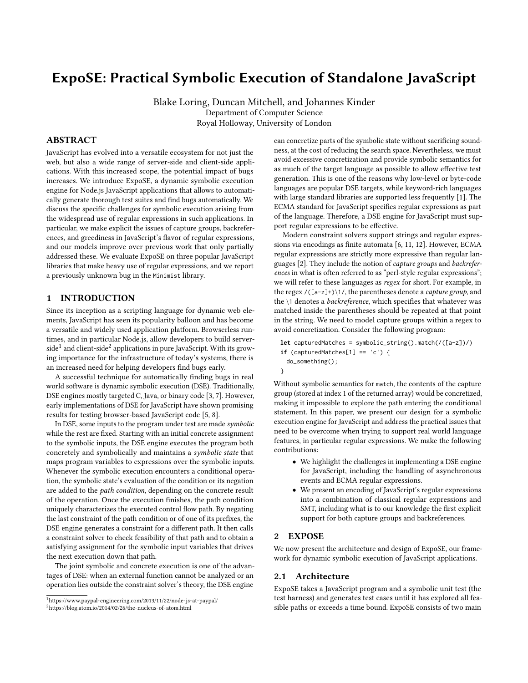# ExpoSE: Practical Symbolic Execution of Standalone JavaScript

Blake Loring, Duncan Mitchell, and Johannes Kinder Department of Computer Science Royal Holloway, University of London

# ABSTRACT

JavaScript has evolved into a versatile ecosystem for not just the web, but also a wide range of server-side and client-side applications. With this increased scope, the potential impact of bugs increases. We introduce ExpoSE, a dynamic symbolic execution engine for Node.js JavaScript applications that allows to automatically generate thorough test suites and find bugs automatically. We discuss the specific challenges for symbolic execution arising from the widespread use of regular expressions in such applications. In particular, we make explicit the issues of capture groups, backreferences, and greediness in JavaScript's flavor of regular expressions, and our models improve over previous work that only partially addressed these. We evaluate ExpoSE on three popular JavaScript libraries that make heavy use of regular expressions, and we report a previously unknown bug in the Minimist library.

# 1 INTRODUCTION

Since its inception as a scripting language for dynamic web elements, JavaScript has seen its popularity balloon and has become a versatile and widely used application platform. Browserless runtimes, and in particular Node.js, allow developers to build server- $\mathrm{side}^1$  $\mathrm{side}^1$  and  $\mathrm{client}\text{-} \mathrm{side}^2$  $\mathrm{client}\text{-} \mathrm{side}^2$  applications in pure JavaScript. With its growing importance for the infrastructure of today's systems, there is an increased need for helping developers find bugs early.

A successful technique for automatically finding bugs in real world software is dynamic symbolic execution (DSE). Traditionally, DSE engines mostly targeted C, Java, or binary code [\[3,](#page-3-0) [7\]](#page-3-1). However, early implementations of DSE for JavaScript have shown promising results for testing browser-based JavaScript code [\[5,](#page-3-2) [8\]](#page-3-3).

In DSE, some inputs to the program under test are made symbolic while the rest are fixed. Starting with an initial concrete assignment to the symbolic inputs, the DSE engine executes the program both concretely and symbolically and maintains a symbolic state that maps program variables to expressions over the symbolic inputs. Whenever the symbolic execution encounters a conditional operation, the symbolic state's evaluation of the condition or its negation are added to the path condition, depending on the concrete result of the operation. Once the execution finishes, the path condition uniquely characterizes the executed control flow path. By negating the last constraint of the path condition or of one of its prefixes, the DSE engine generates a constraint for a different path. It then calls a constraint solver to check feasibility of that path and to obtain a satisfying assignment for the symbolic input variables that drives the next execution down that path.

The joint symbolic and concrete execution is one of the advantages of DSE: when an external function cannot be analyzed or an operation lies outside the constraint solver's theory, the DSE engine

can concretize parts of the symbolic state without sacrificing soundness, at the cost of reducing the search space. Nevertheless, we must avoid excessive concretization and provide symbolic semantics for as much of the target language as possible to allow effective test generation. This is one of the reasons why low-level or byte-code languages are popular DSE targets, while keyword-rich languages with large standard libraries are supported less frequently [\[1\]](#page-3-4). The ECMA standard for JavaScript specifies regular expressions as part of the language. Therefore, a DSE engine for JavaScript must support regular expressions to be effective.

Modern constraint solvers support strings and regular expres-sions via encodings as finite automata [\[6,](#page-3-5) [11,](#page-3-6) [12\]](#page-3-7). However, ECMA regular expressions are strictly more expressive than regular languages [\[2\]](#page-3-8). They include the notion of capture groups and backreferences in what is often referred to as "perl-style regular expressions"; we will refer to these languages as regex for short. For example, in the regex  $/$ ([a-z]+)\1/, the parentheses denote a *capture group*, and the  $\setminus$ 1 denotes a *backreference*, which specifies that whatever was matched inside the parentheses should be repeated at that point in the string. We need to model capture groups within a regex to avoid concretization. Consider the following program:

**let** capturedMatches = symbolic\_string().match(/([a-z])/)  $if$  (capturedMatches[1] == 'c') { do\_something(); }

Without symbolic semantics for match, the contents of the capture group (stored at index 1 of the returned array) would be concretized, making it impossible to explore the path entering the conditional statement. In this paper, we present our design for a symbolic execution engine for JavaScript and address the practical issues that need to be overcome when trying to support real world language features, in particular regular expressions. We make the following contributions:

- We highlight the challenges in implementing a DSE engine for JavaScript, including the handling of asynchronous events and ECMA regular expressions.
- We present an encoding of JavaScript's regular expressions into a combination of classical regular expressions and SMT, including what is to our knowledge the first explicit support for both capture groups and backreferences.

# 2 EXPOSE

We now present the architecture and design of ExpoSE, our framework for dynamic symbolic execution of JavaScript applications.

## 2.1 Architecture

ExpoSE takes a JavaScript program and a symbolic unit test (the test harness) and generates test cases until it has explored all feasible paths or exceeds a time bound. ExpoSE consists of two main

<span id="page-0-0"></span><sup>1</sup><https://www.paypal-engineering.com/2013/11/22/node-js-at-paypal/>

<span id="page-0-1"></span><sup>2</sup><https://blog.atom.io/2014/02/26/the-nucleus-of-atom.html>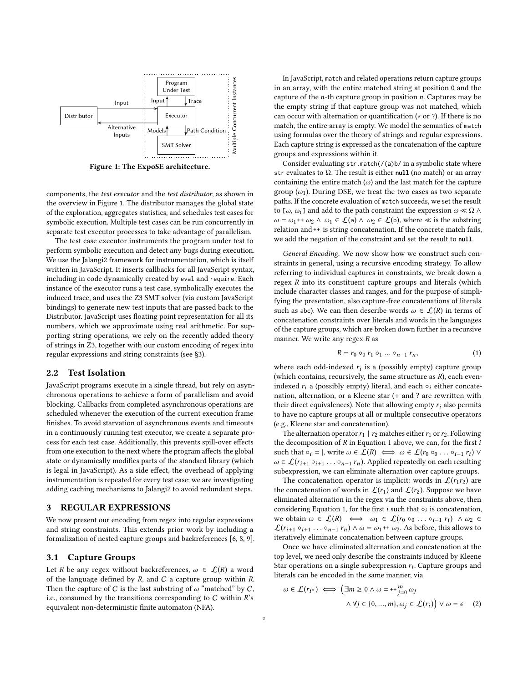<span id="page-1-0"></span>

Figure 1: The ExpoSE architecture.

components, the test executor and the test distributor, as shown in the overview in Figure [1.](#page-1-0) The distributor manages the global state of the exploration, aggregates statistics, and schedules test cases for symbolic execution. Multiple test cases can be run concurrently in separate test executor processes to take advantage of parallelism.

The test case executor instruments the program under test to perform symbolic execution and detect any bugs during execution. We use the Jalangi2 framework for instrumentation, which is itself written in JavaScript. It inserts callbacks for all JavaScript syntax, including in code dynamically created by eval and require. Each instance of the executor runs a test case, symbolically executes the induced trace, and uses the Z3 SMT solver (via custom JavaScript bindings) to generate new test inputs that are passed back to the Distributor. JavaScript uses floating point representation for all its numbers, which we approximate using real arithmetic. For supporting string operations, we rely on the recently added theory of strings in Z3, together with our custom encoding of regex into regular expressions and string constraints (see [§3\)](#page-1-1).

#### 2.2 Test Isolation

JavaScript programs execute in a single thread, but rely on asynchronous operations to achieve a form of parallelism and avoid blocking. Callbacks from completed asynchronous operations are scheduled whenever the execution of the current execution frame finishes. To avoid starvation of asynchronous events and timeouts in a continuously running test executor, we create a separate process for each test case. Additionally, this prevents spill-over effects from one execution to the next where the program affects the global state or dynamically modifies parts of the standard library (which is legal in JavaScript). As a side effect, the overhead of applying instrumentation is repeated for every test case; we are investigating adding caching mechanisms to Jalangi2 to avoid redundant steps.

## <span id="page-1-1"></span>3 REGULAR EXPRESSIONS

We now present our encoding from regex into regular expressions and string constraints. This extends prior work by including a formalization of nested capture groups and backreferences [\[6,](#page-3-5) [8,](#page-3-3) [9\]](#page-3-9).

#### <span id="page-1-3"></span>3.1 Capture Groups

Let R be any regex without backreferences,  $\omega \in \mathcal{L}(R)$  a word of the language defined by  $R$ , and  $C$  a capture group within  $R$ . Then the capture of C is the last substring of  $\omega$  "matched" by C, i.e., consumed by the transitions corresponding to  $C$  within  $R$ 's equivalent non-deterministic finite automaton (NFA).

In JavaScript, match and related operations return capture groups in an array, with the entire matched string at position 0 and the capture of the  $n$ -th capture group in position  $n$ . Captures may be the empty string if that capture group was not matched, which can occur with alternation or quantification  $(*$  or ?). If there is no match, the entire array is empty. We model the semantics of match using formulas over the theory of strings and regular expressions. Each capture string is expressed as the concatenation of the capture groups and expressions within it.

Consider evaluating str.match(/(a)b/ in a symbolic state where str evaluates to Ω. The result is either **null** (no match) or an array containing the entire match  $(\omega)$  and the last match for the capture group  $(\omega_1)$ . During DSE, we treat the two cases as two separate paths. If the concrete evaluation of match succeeds, we set the result to [ $\omega$ ,  $\omega_1$ ] and add to the path constraint the expression  $\omega \ll \Omega \wedge$  $\omega = \omega_1 + \omega_2 \wedge \omega_1 \in \mathcal{L}(\mathsf{a}) \wedge \omega_2 \in \mathcal{L}(\mathsf{b})$ , where  $\ll$  is the substring relation and ++ is string concatenation. If the concrete match fails, we add the negation of the constraint and set the result to **null**.

General Encoding. We now show how we construct such constraints in general, using a recursive encoding strategy. To allow referring to individual captures in constraints, we break down a regex R into its constituent capture groups and literals (which include character classes and ranges, and for the purpose of simplifying the presentation, also capture-free concatenations of literals such as abc). We can then describe words  $\omega \in \mathcal{L}(R)$  in terms of concatenation constraints over literals and words in the languages of the capture groups, which are broken down further in a recursive manner. We write any regex  $R$  as

<span id="page-1-2"></span>
$$
R = r_0 \circ_0 r_1 \circ_1 \dots \circ_{n-1} r_n,\tag{1}
$$

where each odd-indexed  $r_i$  is a (possibly empty) capture group<br>(which contains recursively the same structure as  $R$ ) each even. (which contains, recursively, the same structure as R), each evenindexed  $r_i$  a (possibly empty) literal, and each  $\circ_i$  either concatenation, alternation, or a Kleene star (+ and ? are rewritten with their direct equivalences). Note that allowing empty  $r_i$  also permits to have no capture groups at all or multiple consecutive operators (e.g., Kleene star and concatenation).

The alternation operator  $r_1 | r_2$  matches either  $r_1$  or  $r_2$ . Following the decomposition of  $R$  in Equation [1](#page-1-2) above, we can, for the first  $i$ such that  $\circ_i = |$ , write  $\omega \in \mathcal{L}(R) \iff \omega \in \mathcal{L}(r_0 \circ_0 \dots \circ_{i-1} r_i) \vee \omega \in \mathcal{L}(r_1 \circ_1 \dots \circ_{i-1} r_i)$  $\omega \in \mathcal{L}(r_{i+1} \circ_{i+1} \ldots \circ_{n-1} r_n)$ . Applied repeatedly on each resulting subexpression, we can eliminate alternation over capture groups.

The concatenation operator is implicit: words in  $\mathcal{L}(r_1r_2)$  are the concatenation of words in  $\mathcal{L}(r_1)$  and  $\mathcal{L}(r_2)$ . Suppose we have eliminated alternation in the regex via the constraints above, then considering Equation [1,](#page-1-2) for the first *i* such that  $\circ_i$  is concatenation,<br>we obtain  $\circ_i \in \mathcal{L}(P)$   $\iff \circ_i \in \mathcal{L}(P)$  and  $\circ_i \in \mathcal{L}(P)$  and  $\circ_i \in \mathcal{L}(P)$ we obtain  $\omega \in \mathcal{L}(R) \iff \omega_1 \in \mathcal{L}(r_0 \circ_0 \dots \circ_{i-1} r_i) \land \omega_2 \in$  $\mathcal{L}(r_{i+1} \circ_{i+1} \ldots \circ_{n-1} r_n) \wedge \omega = \omega_1 + \omega_2$ . As before, this allows to iteratively eliminate concatenation between capture groups.

Once we have eliminated alternation and concatenation at the top level, we need only describe the constraints induced by Kleene Star operations on a single subexpression  $r_i$ . Capture groups and  $l$ literals can be encoded in the same manner, via

<span id="page-1-4"></span>
$$
\omega \in \mathcal{L}(r_i \star) \iff \left(\exists m \ge 0 \land \omega = \leftarrow_{j=0}^m \omega_j \land \forall j \in \{0, ..., m\}, \omega_j \in \mathcal{L}(r_i)\right) \lor \omega = \epsilon \quad (2)
$$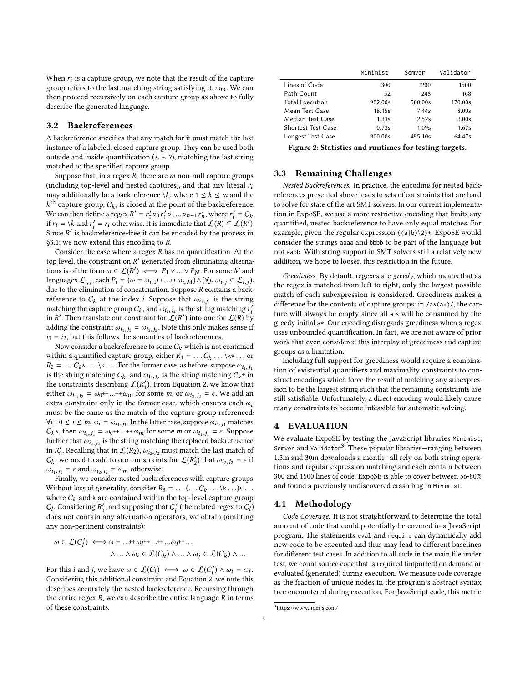When  $r_i$  is a capture group, we note that the result of the capture group refers to the last matching string satisfying it.  $\omega$ . We can group refers to the last matching string satisfying it,  $\omega_m$ . We can then proceed recursively on each capture group as above to fully describe the generated language.

### 3.2 Backreferences

A backreference specifies that any match for it must match the last instance of a labeled, closed capture group. They can be used both outside and inside quantification  $(*, *, ?)$ , matching the last string matched to the specified capture group.

Suppose that, in a regex  $R$ , there are  $m$  non-null capture groups (including top-level and nested captures), and that any literal  $r_i$ may additionally be a backreference \ $k$ , where  $1 \leq k \leq m$  and the We can then define a regex  $R' = r'_0 \circ 0 r'_1 \circ 1 ... \circ n_{n-1} r'_n$ , where  $r'_i = C_k$ <br>if  $r_i = \lambda k$  and  $r' = r_i$ , otherwise, It is immediate that  $f(P) \subset f(P')$ <sup>th</sup> capture group,  $C_k$ , is closed at the point of the backreference. if  $r_i = \kappa$  and  $r'_i = r_i$  otherwise. It is immediate that  $\mathcal{L}(R) \subseteq \mathcal{L}(R')$ .<br>Since P' is backraferance-free it can be encoded by the process in Since  $R'$  is backreference-free it can be encoded by the process in  $83.1$ ; we now extend this encoding to  $R$ [§3.1;](#page-1-3) we now extend this encoding to R.

Consider the case where a regex  $R$  has no quantification. At the top level, the constraint on R' generated from eliminating alterna-<br>tions is of the form  $\omega \in C(P')$   $\longleftrightarrow$   $P_{\text{A}} \vee P_{\text{A}}$ . For some M and tions is of the form  $\omega \in \mathcal{L}(R') \iff P_1 \vee ... \vee P_N$ . For some M and languages  $\mathcal{L}_{i,j}$ , each  $P_i = (\omega = \omega_{i,1} + \ldots + \omega_{i,M}) \wedge (\forall j, \omega_{i,j} \in \mathcal{L}_{i,j})$ ,<br>due to the elimination of concatenation. Suppose R contains a backdue to the elimination of concatenation. Suppose R contains a backreference to  $C_k$  at the index *i*. Suppose that  $\omega_{i_1,j_1}$  is the string matching  $r'$ matching the capture group  $C_k$ , and  $\omega_{i_2, j_2}$  is the string matching  $r'_i$ <br>in  $P'$ . Then translate our constraint for  $f(P')$  into one for  $f(P)$  by in R'. Then translate our constraint for  $\mathcal{L}(R')$  into one for  $\mathcal{L}(R)$  by adding the constraint  $\omega_{i_1,j_1} = \omega_{i_2,j_2}$ . Note this only makes sense if  $i_1 - i_2$  but this follows the semantics of backreferences  $i_1 = i_2$ , but this follows the semantics of backreferences.

Now consider a backreference to some  $C_k$  which is not contained within a quantified capture group, either  $R_1 = \dots C_k \dots \backslash \mathsf{k}^* \dots$  or  $R_2 = \dots C_k \times \dots \backslash \mathsf{k}$ . For the former case as before, suppose  $\otimes \dots$  $R_2 = \ldots C_k^* \ldots \backslash k \ldots$  For the former case, as before, suppose  $\omega_{i_1,j_1}$ is the string matching  $C_k$ , and  $\omega_{i_2, j_2}$  is the string matching  $C_k \star$  in the constraints describing  $\Gamma(P')$ . From Equation 2, we know that the constraints describing  $\mathcal{L}(R'_1)$ . From Equation [2,](#page-1-4) we know that either  $\omega_{i_2, j_2} = \omega_0 + ... + \omega_m$  for some m, or  $\omega_{i_2, j_2} = \epsilon$ . We add an extra constraint only in the former case, which ensures each  $\omega_i$ must be the same as the match of the capture group referenced:  $\forall i : 0 \le i \le m, \omega_i = \omega_{i_1, j_1}$ . In the latter case, suppose  $\omega_{i_1, j_1}$  matches  $C_k^*$ , then  $\omega_{i_1,j_1} = \omega_0 + ... + \omega_m$  for some *m* or  $\omega_{i_1,j_1} = \epsilon$ . Suppose further that  $\omega_{i_2,j_2}$  is the string matching the replaced backreference<br>in  $P'$ , Becalling that in  $P(P_2)$ ,  $\omega$ , must match the last match of in  $R'_2$ . Recalling that in  $\mathcal{L}(R_2)$ ,  $\omega_{i_2, j_2}$  must match the last match of  $C_1$ , we need to add to our constraints for  $\mathcal{L}(R')$  that  $\omega_{i_1} = \epsilon$  if  $C_k$ , we need to add to our constraints for  $\mathcal{L}(R'_2)$  that  $\omega_{i_2, j_2} = \epsilon$  if  $\omega_{i_1,j_1} = \epsilon$  and  $\omega_{i_2,j_2} = \omega_m$  otherwise.

Finally, we consider nested backreferences with capture groups. Without loss of generality, consider  $R_3 = \ldots (\ldots C_k \ldots \setminus k \ldots) * \ldots$ <br>where  $C_k$  and k are contained within the top-level capture group where  $C_k$  and k are contained within the top-level capture group  $C_l$ . Considering  $R'_3$ , and supposing that  $C'_l$  (the related regex to  $C_l$ ) does not contain any alternation operators, we obtain (omitting any non-pertinent constraints):

$$
\begin{aligned} \omega \in \mathcal{L}(C_l') &\iff \omega = ... {^{++}} \omega_l {^{++}} ... {^{++}} ... \omega_j {^{++}} ...\\ &\land ... \land \omega_l \in \mathcal{L}(C_k) \land ... \land \omega_j \in \mathcal{L}(C_k) \land ... \end{aligned}
$$

For this *i* and *j*, we have  $\omega \in \mathcal{L}(C_l) \iff \omega \in \mathcal{L}(C'_l) \land \omega_i = \omega_j$ <br>Considering this additional constraint and Equation 2, we note this Considering this additional constraint and Equation [2,](#page-1-4) we note this describes accurately the nested backreference. Recursing through the entire regex  $R$ , we can describe the entire language  $R$  in terms of these constraints.

<span id="page-2-1"></span>

|                           | Minimist | Semver  | Validator         |
|---------------------------|----------|---------|-------------------|
| Lines of Code             | 300      | 1200    | 1500              |
| Path Count                | 52       | 248     | 168               |
| <b>Total Execution</b>    | 902.00s  | 500.00s | 170.00s           |
| Mean Test Case            | 18.15s   | 7.44s   | 8.09s             |
| Median Test Case          | 1.31s    | 2.52s   | 3.00 <sub>s</sub> |
| <b>Shortest Test Case</b> | 0.73s    | 1.09s   | 1.67s             |
| Longest Test Case         | 900.00s  | 495.10s | 64.47s            |

Figure 2: Statistics and runtimes for testing targets.

## 3.3 Remaining Challenges

Nested Backreferences. In practice, the encoding for nested backreferences presented above leads to sets of constraints that are hard to solve for state of the art SMT solvers. In our current implementation in ExpoSE, we use a more restrictive encoding that limits any quantified, nested backreference to have only equal matches. For example, given the regular expression ((a|b)\2)+, ExpoSE would consider the strings aaaa and bbbb to be part of the language but not aabb. With string support in SMT solvers still a relatively new addition, we hope to loosen this restriction in the future.

Greediness. By default, regexes are greedy, which means that as the regex is matched from left to right, only the largest possible match of each subexpression is considered. Greediness makes a difference for the contents of capture groups: in  $/a*(a*)$ /, the capture will always be empty since all a's will be consumed by the greedy initial a\*. Our encoding disregards greediness when a regex uses unbounded quantification. In fact, we are not aware of prior work that even considered this interplay of greediness and capture groups as a limitation.

Including full support for greediness would require a combination of existential quantifiers and maximality constraints to construct encodings which force the result of matching any subexpression to be the largest string such that the remaining constraints are still satisfiable. Unfortunately, a direct encoding would likely cause many constraints to become infeasible for automatic solving.

# 4 EVALUATION

We evaluate ExpoSE by testing the JavaScript libraries Minimist, Semver and Validator<sup>[3](#page-2-0)</sup>. These popular libraries-ranging between 1.5m and 30m downloads a month—all rely on both string operations and regular expression matching and each contain between 300 and 1500 lines of code. ExpoSE is able to cover between 56-80% and found a previously undiscovered crash bug in Minimist.

#### 4.1 Methodology

Code Coverage. It is not straightforward to determine the total amount of code that could potentially be covered in a JavaScript program. The statements eval and require can dynamically add new code to be executed and thus may lead to different baselines for different test cases. In addition to all code in the main file under test, we count source code that is required (imported) on demand or evaluated (generated) during execution. We measure code coverage as the fraction of unique nodes in the program's abstract syntax tree encountered during execution. For JavaScript code, this metric

<span id="page-2-0"></span><sup>3</sup><https://www.npmjs.com/>